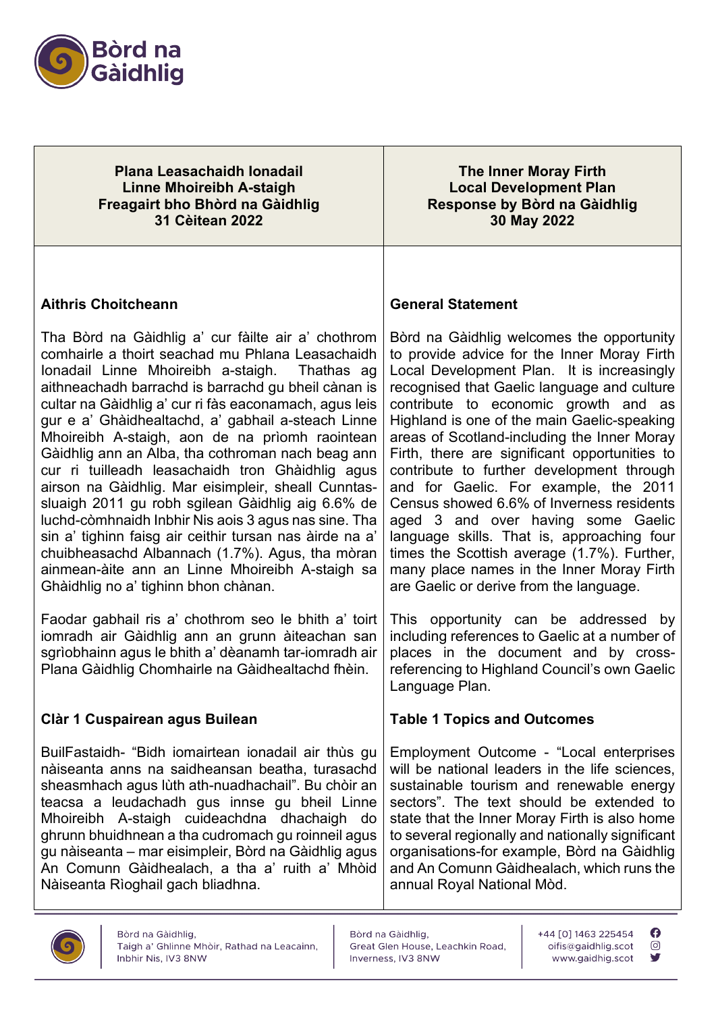

**Plana Leasachaidh Ionadail Linne Mhoireibh A-staigh Freagairt bho Bhòrd na Gàidhlig 31 Cèitean 2022**

**The Inner Moray Firth Local Development Plan Response by Bòrd na Gàidhlig 30 May 2022** 

## **Aithris Choitcheann**

Tha Bòrd na Gàidhlig a' cur fàilte air a' chothrom comhairle a thoirt seachad mu Phlana Leasachaidh Ionadail Linne Mhoireibh a-staigh. Thathas ag aithneachadh barrachd is barrachd gu bheil cànan is cultar na Gàidhlig a' cur ri fàs eaconamach, agus leis gur e a' Ghàidhealtachd, a' gabhail a-steach Linne Mhoireibh A-staigh, aon de na prìomh raointean Gàidhlig ann an Alba, tha cothroman nach beag ann cur ri tuilleadh leasachaidh tron Ghàidhlig agus airson na Gàidhlig. Mar eisimpleir, sheall Cunntassluaigh 2011 gu robh sgilean Gàidhlig aig 6.6% de luchd-còmhnaidh Inbhir Nis aois 3 agus nas sine. Tha sin a' tighinn faisg air ceithir tursan nas àirde na a' chuibheasachd Albannach (1.7%). Agus, tha mòran ainmean-àite ann an Linne Mhoireibh A-staigh sa Ghàidhlig no a' tighinn bhon chànan.

Faodar gabhail ris a' chothrom seo le bhith a' toirt iomradh air Gàidhlig ann an grunn àiteachan san sgrìobhainn agus le bhith a' dèanamh tar-iomradh air Plana Gàidhlig Chomhairle na Gàidhealtachd fhèin.

## **Clàr 1 Cuspairean agus Builean**

BuilFastaidh- "Bidh iomairtean ionadail air thùs gu nàiseanta anns na saidheansan beatha, turasachd sheasmhach agus lùth ath-nuadhachail". Bu chòir an teacsa a leudachadh gus innse gu bheil Linne Mhoireibh A-staigh cuideachdna dhachaigh do ghrunn bhuidhnean a tha cudromach gu roinneil agus gu nàiseanta – mar eisimpleir, Bòrd na Gàidhlig agus An Comunn Gàidhealach, a tha a' ruith a' Mhòid Nàiseanta Rìoghail gach bliadhna.

## **General Statement**

Bòrd na Gàidhlig welcomes the opportunity to provide advice for the Inner Moray Firth Local Development Plan. It is increasingly recognised that Gaelic language and culture contribute to economic growth and as Highland is one of the main Gaelic-speaking areas of Scotland-including the Inner Moray Firth, there are significant opportunities to contribute to further development through and for Gaelic. For example, the 2011 Census showed 6.6% of Inverness residents aged 3 and over having some Gaelic language skills. That is, approaching four times the Scottish average (1.7%). Further, many place names in the Inner Moray Firth are Gaelic or derive from the language.

This opportunity can be addressed by including references to Gaelic at a number of places in the document and by crossreferencing to Highland Council's own Gaelic Language Plan.

## **Table 1 Topics and Outcomes**

Employment Outcome - "Local enterprises will be national leaders in the life sciences, sustainable tourism and renewable energy sectors". The text should be extended to state that the Inner Moray Firth is also home to several regionally and nationally significant organisations-for example, Bòrd na Gàidhlig and An Comunn Gàidhealach, which runs the annual Royal National Mòd.



Bòrd na Gàidhlig. Great Glen House, Leachkin Road, Inverness, IV3 8NW

+44 [0] 1463 225454 oifis@gaidhlig.scot www.gaidhig.scot  $\boldsymbol{\Omega}$ 

ര

y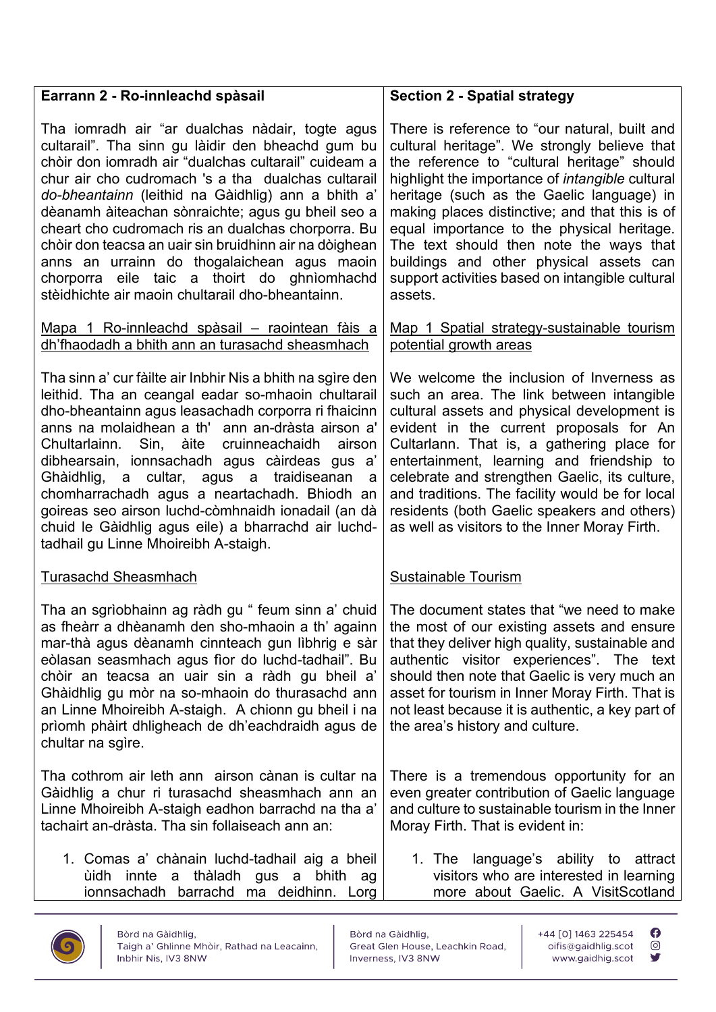| Earrann 2 - Ro-innleachd spàsail                                                                                                                                                                                                                                                                                                                                                                                                                                                                                                                                                                | <b>Section 2 - Spatial strategy</b>                                                                                                                                                                                                                                                                                                                                                                                                                                                                     |
|-------------------------------------------------------------------------------------------------------------------------------------------------------------------------------------------------------------------------------------------------------------------------------------------------------------------------------------------------------------------------------------------------------------------------------------------------------------------------------------------------------------------------------------------------------------------------------------------------|---------------------------------------------------------------------------------------------------------------------------------------------------------------------------------------------------------------------------------------------------------------------------------------------------------------------------------------------------------------------------------------------------------------------------------------------------------------------------------------------------------|
| Tha iomradh air "ar dualchas nàdair, togte agus<br>cultarail". Tha sinn gu làidir den bheachd gum bu<br>chòir don iomradh air "dualchas cultarail" cuideam a<br>chur air cho cudromach 's a tha dualchas cultarail<br>do-bheantainn (leithid na Gàidhlig) ann a bhith a'<br>dèanamh àiteachan sònraichte; agus gu bheil seo a<br>cheart cho cudromach ris an dualchas chorporra. Bu<br>chòir don teacsa an uair sin bruidhinn air na dòighean<br>anns an urrainn do thogalaichean agus maoin<br>chorporra eile taic a thoirt do ghnìomhachd<br>stèidhichte air maoin chultarail dho-bheantainn. | There is reference to "our natural, built and<br>cultural heritage". We strongly believe that<br>the reference to "cultural heritage" should<br>highlight the importance of <i>intangible</i> cultural<br>heritage (such as the Gaelic language) in<br>making places distinctive; and that this is of<br>equal importance to the physical heritage.<br>The text should then note the ways that<br>buildings and other physical assets can<br>support activities based on intangible cultural<br>assets. |
| Mapa 1 Ro-innleachd spàsail - raointean fàis a<br>dh'fhaodadh a bhith ann an turasachd sheasmhach                                                                                                                                                                                                                                                                                                                                                                                                                                                                                               | Map 1 Spatial strategy-sustainable tourism<br>potential growth areas                                                                                                                                                                                                                                                                                                                                                                                                                                    |
| Tha sinn a' cur fàilte air Inbhir Nis a bhith na sgìre den<br>leithid. Tha an ceangal eadar so-mhaoin chultarail<br>dho-bheantainn agus leasachadh corporra ri fhaicinn<br>anns na molaidhean a th' ann an-dràsta airson a'<br>Sin, àite<br>cruinneachaidh<br>airson<br>Chultarlainn.<br>dibhearsain, ionnsachadh agus càirdeas gus a'<br>Ghàidhlig, a cultar, agus a traidiseanan<br>a<br>chomharrachadh agus a neartachadh. Bhiodh an<br>goireas seo airson luchd-còmhnaidh ionadail (an dà<br>chuid le Gàidhlig agus eile) a bharrachd air luchd-<br>tadhail gu Linne Mhoireibh A-staigh.    | We welcome the inclusion of Inverness as<br>such an area. The link between intangible<br>cultural assets and physical development is<br>evident in the current proposals for An<br>Cultarlann. That is, a gathering place for<br>entertainment, learning and friendship to<br>celebrate and strengthen Gaelic, its culture,<br>and traditions. The facility would be for local<br>residents (both Gaelic speakers and others)<br>as well as visitors to the Inner Moray Firth.                          |
| Turasachd Sheasmhach                                                                                                                                                                                                                                                                                                                                                                                                                                                                                                                                                                            | <b>Sustainable Tourism</b>                                                                                                                                                                                                                                                                                                                                                                                                                                                                              |
| Tha an sgrìobhainn ag ràdh gu " feum sinn a' chuid  <br>as fheàrr a dhèanamh den sho-mhaoin a th' againn<br>mar-thà agus dèanamh cinnteach gun lìbhrig e sàr<br>eòlasan seasmhach agus fìor do luchd-tadhail". Bu<br>chòir an teacsa an uair sin a ràdh gu bheil a'<br>Ghàidhlig gu mòr na so-mhaoin do thurasachd ann<br>an Linne Mhoireibh A-staigh. A chionn gu bheil i na<br>prìomh phàirt dhligheach de dh'eachdraidh agus de<br>chultar na sgìre.                                                                                                                                         | The document states that "we need to make<br>the most of our existing assets and ensure<br>that they deliver high quality, sustainable and<br>authentic visitor experiences". The text<br>should then note that Gaelic is very much an<br>asset for tourism in Inner Moray Firth. That is<br>not least because it is authentic, a key part of<br>the area's history and culture.                                                                                                                        |
| Tha cothrom air leth ann airson cànan is cultar na<br>Gàidhlig a chur ri turasachd sheasmhach ann an<br>Linne Mhoireibh A-staigh eadhon barrachd na tha a'<br>tachairt an-dràsta. Tha sin follaiseach ann an:                                                                                                                                                                                                                                                                                                                                                                                   | There is a tremendous opportunity for an<br>even greater contribution of Gaelic language<br>and culture to sustainable tourism in the Inner<br>Moray Firth. That is evident in:                                                                                                                                                                                                                                                                                                                         |
| 1. Comas a' chànain luchd-tadhail aig a bheil<br>ùidh innte a thàladh gus a bhith<br>ag<br>ionnsachadh barrachd ma deidhinn.<br>Lorg                                                                                                                                                                                                                                                                                                                                                                                                                                                            | 1. The language's ability to attract<br>visitors who are interested in learning<br>more about Gaelic. A VisitScotland                                                                                                                                                                                                                                                                                                                                                                                   |



Bòrd na Gàidhlig, Great Glen House, Leachkin Road, Inverness, IV3 8NW